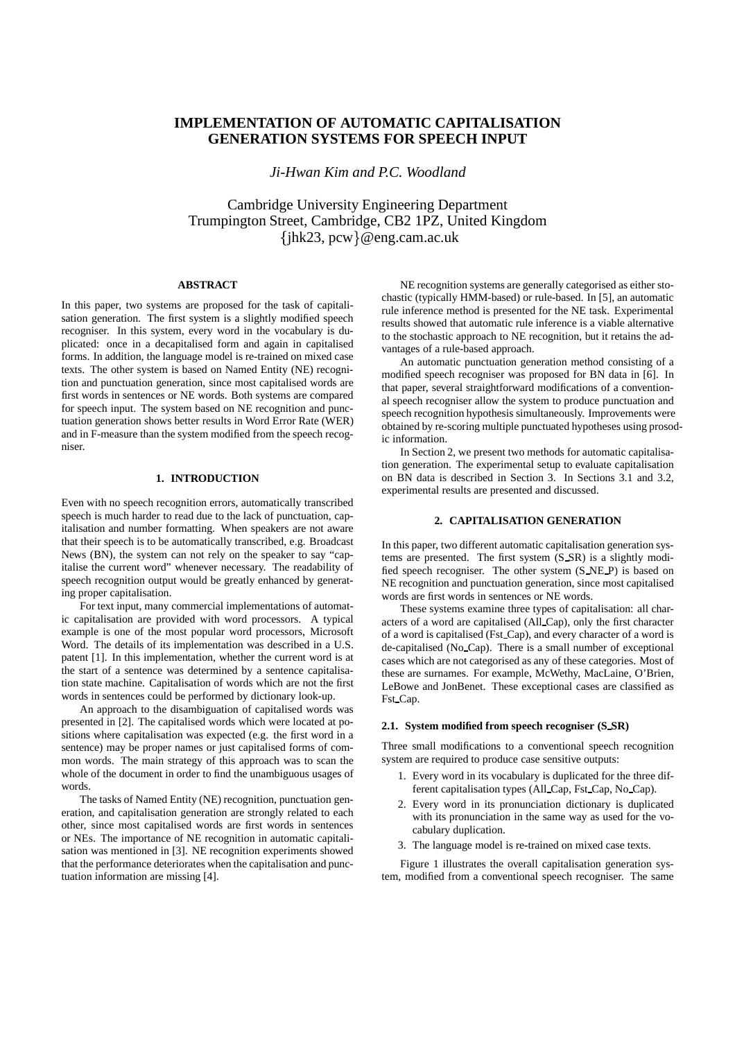# **IMPLEMENTATION OF AUTOMATIC CAPITALISATION GENERATION SYSTEMS FOR SPEECH INPUT**

*Ji-Hwan Kim and P.C. Woodland*

Cambridge University Engineering Department Trumpington Street, Cambridge, CB2 1PZ, United Kingdom  $\{jhk23, pcw\} @$ eng.cam.ac.uk

# **ABSTRACT**

In this paper, two systems are proposed for the task of capitalisation generation. The first system is a slightly modified speech recogniser. In this system, every word in the vocabulary is duplicated: once in a decapitalised form and again in capitalised forms. In addition, the language model is re-trained on mixed case texts. The other system is based on Named Entity (NE) recognition and punctuation generation, since most capitalised words are first words in sentences or NE words. Both systems are compared for speech input. The system based on NE recognition and punctuation generation shows better results in Word Error Rate (WER) and in F-measure than the system modified from the speech recogniser.

# **1. INTRODUCTION**

Even with no speech recognition errors, automatically transcribed speech is much harder to read due to the lack of punctuation, capitalisation and number formatting. When speakers are not aware that their speech is to be automatically transcribed, e.g. Broadcast News (BN), the system can not rely on the speaker to say "capitalise the current word" whenever necessary. The readability of speech recognition output would be greatly enhanced by generating proper capitalisation.

For text input, many commercial implementations of automatic capitalisation are provided with word processors. A typical example is one of the most popular word processors, Microsoft Word. The details of its implementation was described in a U.S. patent [1]. In this implementation, whether the current word is at the start of a sentence was determined by a sentence capitalisation state machine. Capitalisation of words which are not the first words in sentences could be performed by dictionary look-up.

An approach to the disambiguation of capitalised words was presented in [2]. The capitalised words which were located at positions where capitalisation was expected (e.g. the first word in a sentence) may be proper names or just capitalised forms of common words. The main strategy of this approach was to scan the whole of the document in order to find the unambiguous usages of words.

The tasks of Named Entity (NE) recognition, punctuation generation, and capitalisation generation are strongly related to each other, since most capitalised words are first words in sentences or NEs. The importance of NE recognition in automatic capitalisation was mentioned in [3]. NE recognition experiments showed that the performance deteriorates when the capitalisation and punctuation information are missing [4].

NE recognition systems are generally categorised as either stochastic (typically HMM-based) or rule-based. In [5], an automatic rule inference method is presented for the NE task. Experimental results showed that automatic rule inference is a viable alternative to the stochastic approach to NE recognition, but it retains the advantages of a rule-based approach.

An automatic punctuation generation method consisting of a modified speech recogniser was proposed for BN data in [6]. In that paper, several straightforward modifications of a conventional speech recogniser allow the system to produce punctuation and speech recognition hypothesis simultaneously. Improvements were obtained by re-scoring multiple punctuated hypotheses using prosodic information.

In Section 2, we present two methods for automatic capitalisation generation. The experimental setup to evaluate capitalisation on BN data is described in Section 3. In Sections 3.1 and 3.2, experimental results are presented and discussed.

### **2. CAPITALISATION GENERATION**

In this paper, two different automatic capitalisation generation systems are presented. The first system (S SR) is a slightly modified speech recogniser. The other system (S NE P) is based on NE recognition and punctuation generation, since most capitalised words are first words in sentences or NE words.

These systems examine three types of capitalisation: all characters of a word are capitalised (All Cap), only the first character of a word is capitalised (Fst Cap), and every character of a word is de-capitalised (No Cap). There is a small number of exceptional cases which are not categorised as any of these categories. Most of these are surnames. For example, McWethy, MacLaine, O'Brien, LeBowe and JonBenet. These exceptional cases are classified as Fst Cap.

#### **2.1. System modified from speech recogniser (S SR)**

Three small modifications to a conventional speech recognition system are required to produce case sensitive outputs:

- 1. Every word in its vocabulary is duplicated for the three different capitalisation types (All Cap, Fst Cap, No Cap).
- 2. Every word in its pronunciation dictionary is duplicated with its pronunciation in the same way as used for the vocabulary duplication.
- 3. The language model is re-trained on mixed case texts.

Figure 1 illustrates the overall capitalisation generation system, modified from a conventional speech recogniser. The same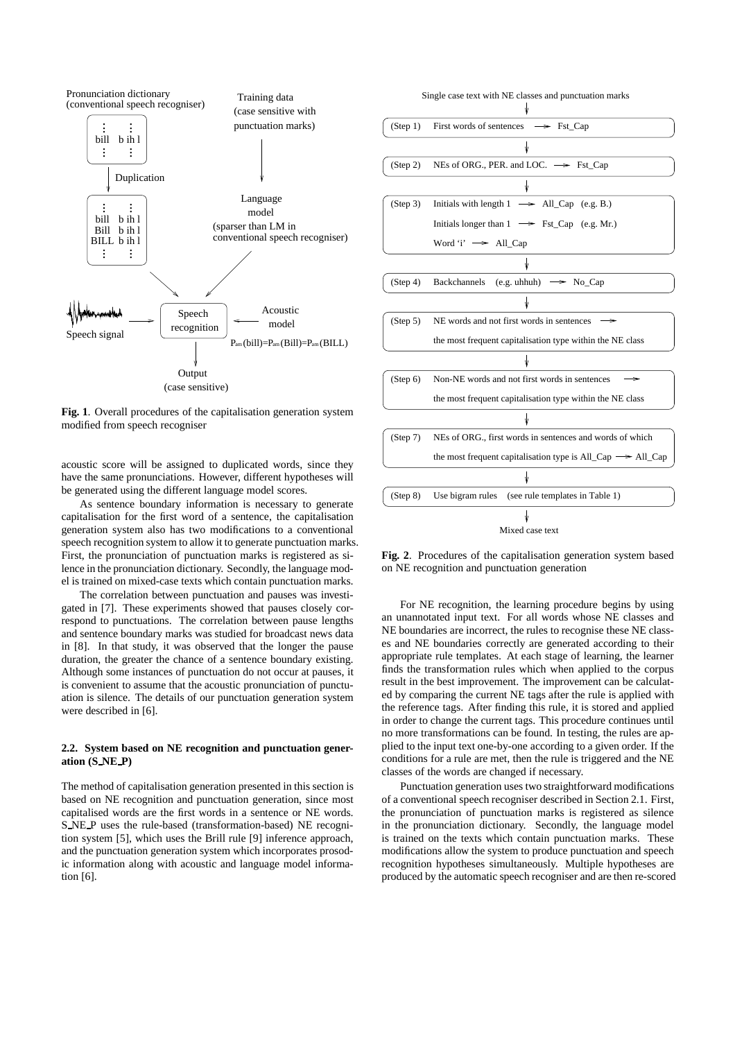

**Fig. 1**. Overall procedures of the capitalisation generation system modified from speech recogniser

acoustic score will be assigned to duplicated words, since they have the same pronunciations. However, different hypotheses will be generated using the different language model scores.

As sentence boundary information is necessary to generate capitalisation for the first word of a sentence, the capitalisation generation system also has two modifications to a conventional speech recognition system to allow it to generate punctuation marks. First, the pronunciation of punctuation marks is registered as silence in the pronunciation dictionary. Secondly, the language model is trained on mixed-case texts which contain punctuation marks.

The correlation between punctuation and pauses was investigated in [7]. These experiments showed that pauses closely correspond to punctuations. The correlation between pause lengths and sentence boundary marks was studied for broadcast news data in [8]. In that study, it was observed that the longer the pause duration, the greater the chance of a sentence boundary existing. Although some instances of punctuation do not occur at pauses, it is convenient to assume that the acoustic pronunciation of punctuation is silence. The details of our punctuation generation system were described in [6].

# **2.2. System based on NE recognition and punctuation generation (S NE P)**

The method of capitalisation generation presented in this section is based on NE recognition and punctuation generation, since most capitalised words are the first words in a sentence or NE words. S NE P uses the rule-based (transformation-based) NE recognition system [5], which uses the Brill rule [9] inference approach, and the punctuation generation system which incorporates prosodic information along with acoustic and language model information [6].



**Fig. 2**. Procedures of the capitalisation generation system based on NE recognition and punctuation generation

For NE recognition, the learning procedure begins by using an unannotated input text. For all words whose NE classes and NE boundaries are incorrect, the rules to recognise these NE classes and NE boundaries correctly are generated according to their appropriate rule templates. At each stage of learning, the learner finds the transformation rules which when applied to the corpus result in the best improvement. The improvement can be calculated by comparing the current NE tags after the rule is applied with the reference tags. After finding this rule, it is stored and applied in order to change the current tags. This procedure continues until no more transformations can be found. In testing, the rules are applied to the input text one-by-one according to a given order. If the conditions for a rule are met, then the rule is triggered and the NE classes of the words are changed if necessary.

Punctuation generation uses two straightforward modifications of a conventional speech recogniser described in Section 2.1. First, the pronunciation of punctuation marks is registered as silence in the pronunciation dictionary. Secondly, the language model is trained on the texts which contain punctuation marks. These modifications allow the system to produce punctuation and speech recognition hypotheses simultaneously. Multiple hypotheses are produced by the automatic speech recogniser and are then re-scored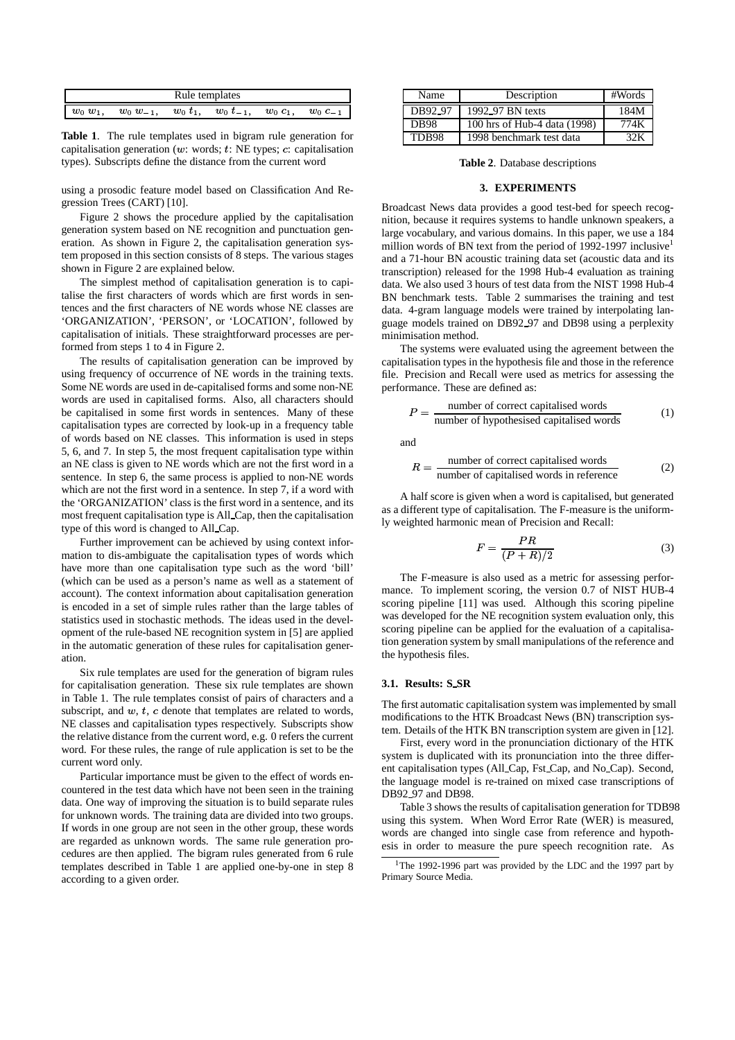| Rule templates |              |               |                            |  |                |  |  |  |
|----------------|--------------|---------------|----------------------------|--|----------------|--|--|--|
| $w_0 w_1$      | $w_0 w_{-1}$ | $w_0$ $t_1$ , | $w_0 t_{-1}$ , $w_0 c_1$ , |  | $w_0$ $c_{-1}$ |  |  |  |

**Table 1**. The rule templates used in bigram rule generation for capitalisation generation ( $w$ : words;  $t$ : NE types;  $c$ : capitalisation types). Subscripts define the distance from the current word

using a prosodic feature model based on Classification And Regression Trees (CART) [10].

Figure 2 shows the procedure applied by the capitalisation generation system based on NE recognition and punctuation generation. As shown in Figure 2, the capitalisation generation system proposed in this section consists of 8 steps. The various stages shown in Figure 2 are explained below.

The simplest method of capitalisation generation is to capitalise the first characters of words which are first words in sentences and the first characters of NE words whose NE classes are 'ORGANIZATION', 'PERSON', or 'LOCATION', followed by capitalisation of initials. These straightforward processes are performed from steps 1 to 4 in Figure 2.

The results of capitalisation generation can be improved by using frequency of occurrence of NE words in the training texts. Some NE words are used in de-capitalised forms and some non-NE words are used in capitalised forms. Also, all characters should be capitalised in some first words in sentences. Many of these capitalisation types are corrected by look-up in a frequency table of words based on NE classes. This information is used in steps 5, 6, and 7. In step 5, the most frequent capitalisation type within an NE class is given to NE words which are not the first word in a sentence. In step 6, the same process is applied to non-NE words which are not the first word in a sentence. In step 7, if a word with the 'ORGANIZATION' class is the first word in a sentence, and its most frequent capitalisation type is All Cap, then the capitalisation type of this word is changed to All Cap.

Further improvement can be achieved by using context information to dis-ambiguate the capitalisation types of words which have more than one capitalisation type such as the word 'bill' (which can be used as a person's name as well as a statement of account). The context information about capitalisation generation is encoded in a set of simple rules rather than the large tables of statistics used in stochastic methods. The ideas used in the development of the rule-based NE recognition system in [5] are applied in the automatic generation of these rules for capitalisation generation.

Six rule templates are used for the generation of bigram rules for capitalisation generation. These six rule templates are shown in Table 1. The rule templates consist of pairs of characters and a subscript, and  $w$ ,  $t$ ,  $c$  denote that templates are related to words, NE classes and capitalisation types respectively. Subscripts show the relative distance from the current word, e.g. 0 refers the current word. For these rules, the range of rule application is set to be the current word only.

Particular importance must be given to the effect of words encountered in the test data which have not been seen in the training data. One way of improving the situation is to build separate rules for unknown words. The training data are divided into two groups. If words in one group are not seen in the other group, these words are regarded as unknown words. The same rule generation procedures are then applied. The bigram rules generated from 6 rule templates described in Table 1 are applied one-by-one in step 8 according to a given order.

| Name        | Description                  | #Words |
|-------------|------------------------------|--------|
| DB92 97     | 1992_97 BN texts             | 184M   |
| <b>DB98</b> | 100 hrs of Hub-4 data (1998) | 774K   |
| TDB98       | 1998 benchmark test data     | 32.K   |

**Table 2**. Database descriptions

#### **3. EXPERIMENTS**

Broadcast News data provides a good test-bed for speech recognition, because it requires systems to handle unknown speakers, a large vocabulary, and various domains. In this paper, we use a 184 million words of BN text from the period of 1992-1997 inclusive<sup>1</sup> and a 71-hour BN acoustic training data set (acoustic data and its transcription) released for the 1998 Hub-4 evaluation as training data. We also used 3 hours of test data from the NIST 1998 Hub-4 BN benchmark tests. Table 2 summarises the training and test data. 4-gram language models were trained by interpolating language models trained on DB92 97 and DB98 using a perplexity minimisation method.

The systems were evaluated using the agreement between the capitalisation types in the hypothesis file and those in the reference file. Precision and Recall were used as metrics for assessing the performance. These are defined as:

$$
P = \frac{\text{number of correct capitalised words}}{\text{number of hypothesized capitalised words}} \tag{1}
$$

and

$$
R = \frac{\text{number of correct capitalised words}}{\text{number of capitalised words in reference}}
$$
 (2)

A half score is given when a word is capitalised, but generated as a different type of capitalisation. The F-measure is the uniformly weighted harmonic mean of Precision and Recall:

$$
F = \frac{PR}{(P+R)/2} \tag{3}
$$

The F-measure is also used as a metric for assessing performance. To implement scoring, the version 0.7 of NIST HUB-4 scoring pipeline [11] was used. Although this scoring pipeline was developed for the NE recognition system evaluation only, this scoring pipeline can be applied for the evaluation of a capitalisation generation system by small manipulations of the reference and the hypothesis files.

### **3.1. Results: S SR**

The first automatic capitalisation system wasimplemented by small modifications to the HTK Broadcast News (BN) transcription system. Details of the HTK BN transcription system are given in [12].

First, every word in the pronunciation dictionary of the HTK system is duplicated with its pronunciation into the three different capitalisation types (All Cap, Fst Cap, and No Cap). Second, the language model is re-trained on mixed case transcriptions of DB92 97 and DB98.

Table 3 shows the results of capitalisation generation for TDB98 using this system. When Word Error Rate (WER) is measured, words are changed into single case from reference and hypothesis in order to measure the pure speech recognition rate. As

<sup>&</sup>lt;sup>1</sup>The 1992-1996 part was provided by the LDC and the 1997 part by Primary Source Media.